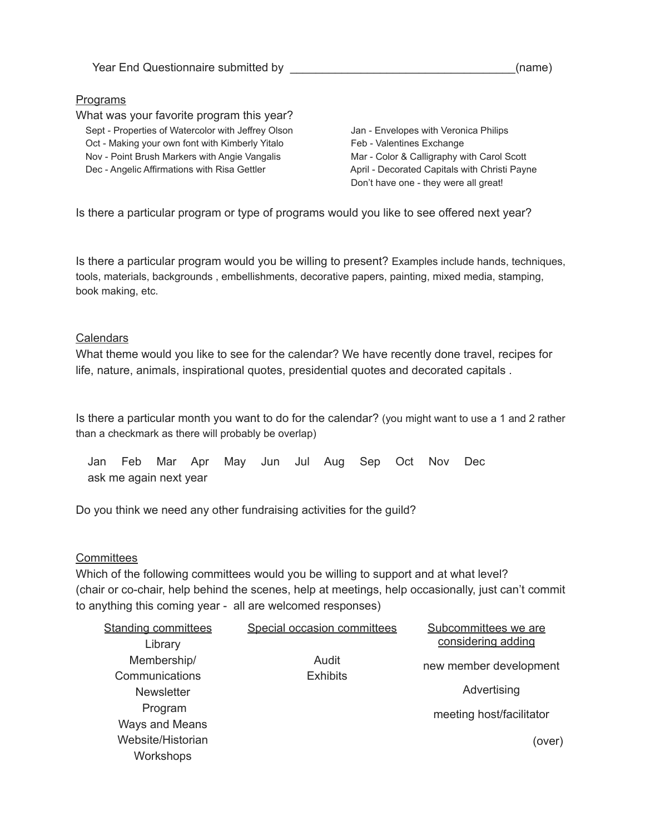## Programs

What was your favorite program this year? Sept - Properties of Watercolor with Jeffrey Olson Jan - Envelopes with Veronica Philips Oct - Making your own font with Kimberly Yitalo Feb - Valentines Exchange Nov - Point Brush Markers with Angie Vangalis Mar - Color & Calligraphy with Carol Scott Dec - Angelic Affirmations with Risa Gettler April - Decorated Capitals with Christi Payne

Don't have one - they were all great!

Is there a particular program or type of programs would you like to see offered next year?

Is there a particular program would you be willing to present? Examples include hands, techniques, tools, materials, backgrounds , embellishments, decorative papers, painting, mixed media, stamping, book making, etc.

## **Calendars**

What theme would you like to see for the calendar? We have recently done travel, recipes for life, nature, animals, inspirational quotes, presidential quotes and decorated capitals .

Is there a particular month you want to do for the calendar? (you might want to use a 1 and 2 rather than a checkmark as there will probably be overlap)

Jan Feb Mar Apr May Jun Jul Aug Sep Oct Nov Dec ask me again next year

Do you think we need any other fundraising activities for the guild?

## **Committees**

Which of the following committees would you be willing to support and at what level? (chair or co-chair, help behind the scenes, help at meetings, help occasionally, just can't commit to anything this coming year - all are welcomed responses)

| <b>Standing committees</b> | Special occasion committees | Subcommittees we are     |
|----------------------------|-----------------------------|--------------------------|
| Library                    |                             | considering adding       |
| Membership/                | Audit                       | new member development   |
| Communications             | <b>Exhibits</b>             |                          |
| <b>Newsletter</b>          |                             | Advertising              |
| Program                    |                             | meeting host/facilitator |
| <b>Ways and Means</b>      |                             |                          |
| Website/Historian          |                             | (over)                   |
| Workshops                  |                             |                          |